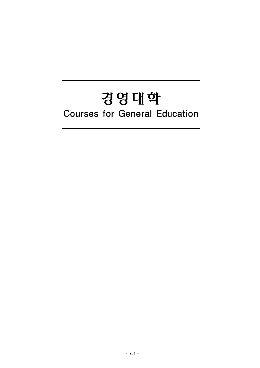# 경영대학**Courses for General Education**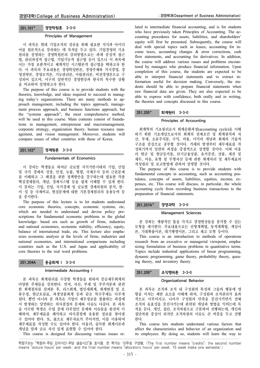#### Principles of Management

이 과목은 현대 기업조직의 성공을 위해 필요한 지식과 아이디 어를 원론적으로 강의하는 데 목적을 두고 있다. 기업경영의 기초 원리를 설명하는 경영학원론의 강의방법으로는 과제 중심적 접근 법, 관리과정적 접근법, 기업기능적 접근법 등이 있으나 이 과목에 서는 가장 포괄적이고 체계적인 시스템론적 접근법을 택하고자 한 다. 이 과목의 주요내용은 경영학일반론, 경영주체와 거시경영, 경 영전략론, 경영조직론, 기능관리론, 사람관리론, 비전경영론으로 구 성되어 있으며, 서구의 일반적인 경영현상과 한국의 특수한 상황 을 비교하여 설명하고자 한다.

The purpose of this course is to provide students with the theories, knowledge, and ideas required to succeed in managing today's organizations. There are many methods to approach management, including the topics approach, management process approach, and business functions approach, but the "systems approach", the most comprehensive method, will be used in this course. Main contents consist of foundations in management, entrepreneur and macromanagement, corporate strategy, organization theory, human resource management, and vision management. Moreover, students will compare issues of other countries with those of Korea.

## 251.103 경제원론 3-3-0

#### Fundamentals of Economics

이 강의는 학생들로 하여금 글로벌 지식기반시대의 기업, 산업 및 국가 경제의 성장, 안정, 능률, 형평, 국제수지 등의 근본문제 를 이해하고 그 해결을 위한 정책방안을 강구하는데 필요한 각종 핵심경제원리, 개념, 경제시스템 등을 쉽게 이해할 수 있게 한다. 이 강의는 기업, 산업, 국가경제 및 글로벌 경제차원의 분석, 한 ․ 미 ․ 일 등 국제비교, 현실문제에 대한 기본경제원리의 응용능력 등 을 중시한다.

The purpose of this lecture is to let students understand core economic theories, concepts, economic systems, etc, which are needed to understand and devise policy prescriptions for fundamental economic problems in the global knowledge- based era such as growth of firms, industries and national economies, economic stability, efficiency, equity, balance of international trade, etc. This lecture also emphasizes economic analysis at the levels of firms, industries and national economies, and international comparisons including countries such as the U.S. and Japan and applicability of core theories to the real word problems.

#### 251.204A 중급회계 I 3-3-0

#### Intermediate Accounting I

본 과목은 회계원리를 수강한 학생들을 위하여 중급재무회계의 다양한 주제들을 강의한다. 먼저, 자산, 부채 및 주주지분과 관련 한 회계절차를 살펴본 후, 리스회계, 법인세회계, 회계변경 및 오 류수정, 현금흐름표, 파생상품회계 등과 같은 특수주제도 다루게 된다. 뿐만 아니라 본 과목은 기업이 재무정보를 창출하는 과정에 서 발생하는 당면하는 의사결정의 문제와 이슈도 다룬다. 본 과목 을 이수한 학생은 수업 중에 다루었던 문제와 이슈들을 완전히 이 해하여, 재무제표를 해석하고 의사결정에 유용한 정보를 찾아낼 수 있어야 한다. 또, 逆으로 재무자료가 주어지면, 이를 이용하여 재무제표를 작성할 수도 있어야 한다. 아울러, 습득한 회계이론과 개념을 말과 글로 자신 있게 표현할 수 있어야 한다.

This course is designed for discussing various issues re-

lated to intermediate financial accounting, and is for students who have previously taken Principles of Accounting. The accounting procedures for assets, liabilities, and shareholders' equity will first be presented. Subsequently, the course will deal with special topics such as leases, accounting for income taxes, accounting changes & error corrections, cash flow statements, and accounting for derivatives. In addition, the course will address various issues and problems encountered by managers who produce financial information. Upon completion of this course, the students are expected to be able to interpret financial statements and to extract information useful for decision making. Conversely, the students should be able to prepare financial statements when raw financial data are given. They are also expected to be able to express with confidence, both orally and in writing, the theories and concepts discussed in this course.

## 251.205 회계원리 3-3-0

## Principles of Accounting

회계학의 기초원리로서 회계순환과정(accounting cycle)을 이해 하기 위한 기초개념으로서의 회계의 전제조건 및 회계원칙과 자 산, 부채, 소유주지분, 수익, 비용, 이익의 개념과 회계의 기술적 구조를 중심으로 공부할 것이다. 거래의 발생부터 재무제표를 작 성하기까지 일련의 과정을 중점적으로 설명할 것이다. 이와 아울 러 현금 및 현금등가물, 단기금융상품, 유가증권, 상품, 채권 및 채무, 어음, 유형 및 무형자산 등에 관한 회계처리 및 재무제표의 작성원리 및 보고방법에 관하여 설명할 것이다.

The purpose of this course is to provide students with fundamental concepts in accounting, such as accounting postulates, concepts of assets, liabilities, equities, income, expenses, etc. This course will discuss, in particular, the whole accounting cycle from recording business transactions to the preparation of financial statements.

## 251.207A\* 경영과학 3-3-0

#### Management Sciences

본 강좌는 계량적인 틀을 가지고 경영현상들을 분석할 수 있는 모형을 제시한다. 주요내용으로는 선형계획법, 동적계획법, 게임이 론, 기대확률이론, 대기행렬이론, 그리고 재고 모형 등이다.

This course is an introduction to methods of operations research from an executive or managerial viewpoint, emphasizing formulation of business problems in quantitative terms. Topics include industrial applications of linear programming, dynamic programming, game theory, probability theory, queuing theory, and inventory theory.

## 251.209 조직행위론 3-3-0

#### Organizational Behavior

본 과목은 조직과 조직 내 구성원의 특성과 그들의 행동에 영 향을 미치는 제반 요소를 이해케 하여, 구성원과 조직관리가 효과 적으로 이루어지고, 나아가 구성원의 만족을 증진시키면서 전체 조직의 유효성을 증진시키는데 관련된 개념과 방법을 익히는데 목 적을 둔다. 개인, 집단, 조직차원으로 구분하여 진행하는데, 개인과 집단차원 중심이 되지만 조직차원의 이슈도 큰 비중을 두고 진행 한다.

This course lets students understand various factors that affect the characteristics and behavior of an organization and its employees. By doing so, students will learn the way to

학점구조는 "학점수-주당 강의시간-주당 실습시간"을 표시함. 한 학기는 15주로 구성됨. (The first number means "credits"; the second number means "lecture hours" per week; and the final number means "laboratory hours" per week. 15 week make one semester.)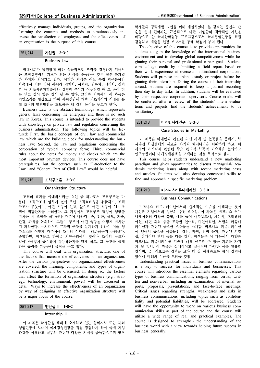effectively manage individuals, groups, and the organization. Learning the concepts and methods to simultaneously increase the satisfaction of employees and the effectiveness of an organization is the purpose of this course.

# 251.214 기업법 3-3-0

#### Business Law

현대사회가 발전함에 따라 성공적으로 조직을 경영하기 위해서 는 조직경쟁력의 기초가 되는 지식을 습득하는 것은 필수 불가결 한 과제가 되어가고 있다. 이러한 지식은 어느 특정 학문분야만 학습해서 되는 것이 아니라 경제학, 사회학, 인류학, 심리학, 정치 학 등 기초사회과학분야와 경영학 분야가 어우러질 때 그 폭이 더 욱 넓고 깊이 있는 것이 될 수 있다. 그러한 의미에서 이 과목은 기업조직을 대상으로 하여 사회전반에 대한 기초지식의 이해를 통 해 조직의 발전방안을 도모하는 데 강의 목적을 두고자 한다.

Business Law is the abstract terminology which represents general laws concerning the enterprise and there is no such law in Korea. This course is intended to provide the students with knowledge on private law and regulation concerning the business administration. The following topics will be lectured: First, the basic concepts of civil law and commercial law which are the building block for understanding the business law; Second, the law and regulations concerning the corporation of typical company form; Third, commercial rules about the notes for money and checks which are the most important payment devices. This course does not have prerequisites, but the courses such as "Introduction to the Law" and "General Part of Civil Law" would be helpful.

## 251.215 조직구조론 3-3-0

#### Organization Structure

조직의 효과를 극대화시키는 요인 중 하나로서 조직구조를 다 룬다. 조직구조에 임하기 전에 우선 조직효과성을 취급하고, 조직 구조가 무엇이며, 어떤 유형이 있고, 앞으로 어떤 유형이 21c 조 직에 적합한지를 논의한다. 그 과정에서 조직구조 형성에 영향을 미치는 제 요인을 하나하나 다루어 나간다. 즉, 전략, 규모, 기술, 환경, 파워를 논의하여 그들이 구조에 어떤 영향을 어떻게 미치는 지 파악한다. 마지막으로 효과적 구조를 설계하기 위하여 이들 영 향요소를 어떻게 다루어야 조직의 성과를 극대화하는지 논의한다. 종합하면, 학생들로 하여금 기능논리에서 벗어나 조직의 구조가 얼마나/어떻게 중요하게 작용하는지를 알게 하고, 그 구조를 설계 하는 능력을 키우는데 목적을 두고 있다.

This course will deal with organization structure, one of the factors that increase the effectiveness of an organization. After the various perspectives on organizational effectiveness are covered, the meaning, components, and types of organization structure will be discussed. In doing so, the factors that affect the formation of organization structure (e.g., strategy, technology, environment, power) will be discussed in detail. Ways to increase the effectiveness of an organization by way of designing an effective organization structure will be a major focus of the course.

# 251.217 인턴십 II 1-0-2

## Internship II

이 과목은 학생들을 해외에 소재하고 있는 한국지사 또는 해외 영업현장에 보내어 국제경영현장을 직접 경험하게 하여 국제 기업 환경을 이해하고 실무와 관련된 다양한 지식을 습득함으로써 향후

학생들의 경력개발 지원을 위해 개설하였다. 본 강좌는 종전의 단 순한 현지 견학과는 근본적으로 다른 기업들의 적극적인 지원을 바탕으로 한 국제산학협동 프로그램으로서 국제경영현장을 직접 경험하고 제출한 현장 보고서를 통해 학점이 부여 된다

The objective of this course is to provide opportunities for students to gain the knowledge of the international business environment and to develop global competitiveness while beginning their personal and professional career goals. Students earn college credit by submitting a field report based on their work experience at overseas multinational corporations. Students will propose and plan a study or project before beginning their internship. During the course of their internship abroad, students are required to keep a journal recording their day to day tasks. In addition, students will be evaluated by their respective corporate supervisors. Course credit will be conferred after a review of the students' intern evaluations and projects find the students' achievements to be satisfactory.

#### 251.218 마케팅사례연구 3-3-0

### Case Studies in Marketing

이 과목은 마케팅과 관련된 최신 사례 및 논문들을 통해서, 학 사과정 학생들에게 새로운 마케팅 패러다임을 이해하게 하고, 이 시대의 마케팅과 관련된 주요 관리적 · 학문적 이슈들을 논의하고 연구방향이나 마케팅해결책을 모색하는 것을 목적으로 한다.

This course helps students understand a new marketing paradigm and gives opportunities to discuss managerial/ academic marketing issues along with recent marketing cases and articles. Students will also develop conceptual skills to find and approach a specific marketing problem.

## 251.219 비즈니스커뮤니케이션 3-3-0

#### Business Communications

비즈니스 커뮤니케이션에서의 실제적인 이슈를 이해하는 것이 개인과 기업에서의 성공의 주된 요소임. 이 과목은 비즈니스 커뮤 니케이션의 다양한 유형, 예를 들어 내부보고서, 제안서, 프리젠테 이션, 대면 회의 등을 포함한 언어적, 비언어적인, 서면의 커뮤니 케이션과 관련된 중요한 요소들을 소개함. 비즈니스 커뮤니케이션 에 있어서 중요한 이슈들인 강점, 약점, 위험 등과, 관련된 기밀 성, 잠재적인 책임 등을 다룰 것임. 학생들은 이 과목에서 다양한 비즈니스 커뮤니케이션 기술에 대해 공부할 수 있는 기회를 가지 게 될 것임. 이 과목은 실재적이고 실용적인 다양한 예를 활용할 것이며, 궁극적으로는 경영을 보다 더 잘 이해하도록 하여 경영에 있어서 미래의 성공을 도와줄 것임

Understanding practical issues in business communications is a key to success for individuals and businesses. This course will introduce the essential elements regarding various types of business communications, ranging from verbal, written and non-verbal, including an examination of internal reports, proposals, presentations, and face-to-face meetings. Critical issues regarding strengths, weaknesses and risks in business communications, including topics such as confidentiality and potential liabilities, will be addressed. Students will have the opportunity to work on various business communication skills as part of the course and the course will utilize a wide range of real and practical examples. The course is designed to strengthen the understanding of the business world with a view towards helping future success in business generally.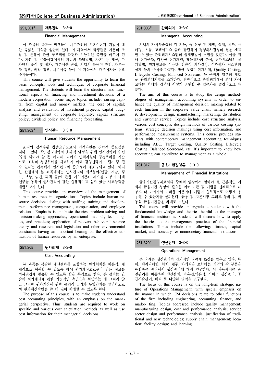## Financial Management

이 과목의 목표는 학생들이 재무관리의 기본이론과 기법에 대 한 폭넓은 지식을 얻는데 있다. 이 과목에서 학생들은 자본의 조 달 및 운용에 관한 구조적인 측면과 기능적인 측면을 배우게 된 다. 자본 및 금융시장에서의 자금의 조달방법, 자본비용 계산, 투 자안의 분석 및 평가, 자본예산 편성, 기업의 유동성 관리, 자본구 조 정책, 배당 정책, 재무예측 등이 이 과목에서 다루어지는 주요 주제들이다.

This course will give students the opportunity to learn the basic concepts, tools and techniques of corporate financial management. The students will learn the structural and functional aspects of financing and investment decisions of a modern corporation. Some major topics include: raising capital from capital and money markets; the cost of capital; analysis and evaluation of investment projects; capital budgeting; management of corporate liquidity; capital structure policy; dividend policy and financing forecasting.

| $251,303*$ | 인사관리 3-3-0 |  |
|------------|------------|--|
|------------|------------|--|

#### Human Resource Management

조직의 경쟁우위 창출요인으로서 인적자원은 전략적 중요성을 지니고 있다. 즉, 경영전략의 효과적 달성을 위해 인사전략이 수립 /수행 되어야 할 뿐 아니라, 나아가 인적자원의 경쟁우위를 기반 으로 조직의 경쟁우위를 제고하기 위해 경영전략이 수립/수행 될 수 있다는 관점에서 인사관리의 중요성이 재조명되고 있다. 이러 한 관점에서 본 과목에서는 인사관리의 세부분야(선발, 개발, 평 가, 보상, 승진, 퇴직 등)에 관한 기초이론과 제도를 다루며 사례 연구를 통하여 인사관리에 관한 실용적이고 심도 있는 사고능력을 개발하고자 한다.

This course provides an overview of the management of human resources in organizations. Topics include human resource decisions dealing with staffing, training and development, performance management, compensation, and employee relations. Emphasis is on: basic theories; problem-solving and decision-making approaches; operational methods, technologies, and practices; application of relevant behavioral science theory and research; and legislation and other environmental constraints having an important bearing on the effective utilization of human resources by an enterprise.

## Cost Accounting

본 과목은 복잡한 계산절차를 포함하는 원가회계를 이론적, 체 계적으로 이해할 수 있도록 하여 원가계산으로부터 얻은 정보를 의사결정에 활용할 수 있도록 함을 목적으로 한다. 본 강의는 단 순히 원가계산에 관한 기술적인 측면만을 설명하는 데 그치지 않 고 그러한 원가계산에 관한 논리적 근거가 무엇인지를 설명함으로 써 원가계산방법을 좀 더 깊이 이해할 수 있도록 한다.

The purpose of this course is to make students understand cost accounting principles, with an emphasis on the managerial perspective. Thus, students are required to work on specific and various cost calculation methods as well as use cost information for their managerial decisions.

# 251.306 관리회계 3-3-0

## Managerial Accounting

기업의 가치사슬상의 각 기능, 즉 연구 및 개발, 설계, 제조, 마 케팅, 유통, 고객서비스 등과 관련하여 경영의사결정의 질을 제고 할 수 있는 관리회계시스템의 설계방법에 초점을 맞춘다. 이를 위 해 원가구조, 다양한 원가개념, 활동원가의 분석, 원가시스템의 설 계방법, 원가정보를 이용한 전략적 의사결정, 성과평가 시스템의 설계 등의 주제를 다룬다. 또한 ABC, 원가기획, Quality Costing, Lifecycle Costing, Balanced Scorecard 등 구미와 일본의 새로 운 관리회계기법을 소개한다. 전반적으로 관리회계에서 회계 자체 보다는 회계가 경영에 어떻게 공헌할 수 있는가를 중점적으로 다 룬다.

The aim of this course is to study the design methodologies of management accounting systems in order to enhance the quality of management decision making related to each function in the corporate value chain, namely research & development, design, manufacturing, marketing, distribution and customer service. Topics include cost structure analysis, various cost concepts, design methods of various costing systems, strategic decision makings using cost information, and performance measurement systems. This course provides students with contemporary management accounting techniques including ABC, Target Costing, Quality Costing, Lifecycle Costing, Balanced Scorecard, etc. It's important to know how accounting can contribute to management as a whole.

## 251.317 금융기관경영론 3-3-0

#### Management of Financial Institutions

금융기관경영자로서의 주체적 입장에서 알아야 될 근본적인 지 식과 금융기관 경영에 필요한 여러 이론 및 기법을 전체적으로 다 루고 더 나아가서 이러한 이론이나 기법이 실무적으로 어떻게 응 용될 수 있는지를 살펴본다. 금융 및 자본시장 그리고 통화 및 비 통화 금융기관들을 차례로 논한다.

This course will provide undergraduate students with the fundamental knowledge and theories helpful to the manager of financial institutions. Students will discuss how to apply the theories to the management practices of the financial institutions. Topics include the following: finance, capital market, and monetary- & nonmonetary-financial institutions.

## 251.320 생산관리 3-3-0

#### Operations Management

본 강좌는 생산관리의 장기적인 전략에 초점을 맞추고 있다. 특 히, 엔지니어링, 회계, 재무, 마케팅을 포함하는 기업의 각 부문을 통합하는 관점에서 생산관리에 대해 연구한다. 이 과목에서는 품 질관리를 비롯하여 생산설계, 비용-효익분석, 서비스 생산관리, 공 급사슬관리, 배치 등 다양한 영역을 연구한다.

The focus of this course is on the long-term strategic nature of Operations Management, with special emphasis on the manner in which OM decisions relate to other functions of the firm including engineering, accounting, finance, and marke- ting. Topics addressed include quality management; manufacturing design, cost and performance analysis; service sector design and performance analysis; justification of traditional and new technologies; supply chain management; location; facility design; and learning.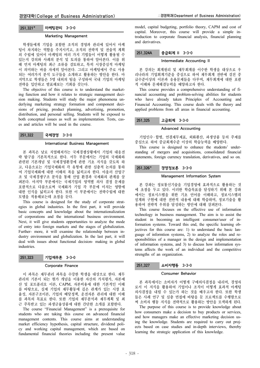#### Marketing Management

학생들에게 기업을 포함한 조직의 경영과 관리에 있어서 마케 팅이 차지하는 역할을 주지시키고, 조직의 전략적 및 전술적 계획 의 수립에 있어서 마케팅의 여러 가지 기법들이 어떻게 활용될 수 있는지 강의와 사례의 분석 및 토의를 통하여 알아본다. 이를 위 해 먼저 마케팅의 최근 조류를 검토하고, 특히 시장중심적 마케팅 이 의미하는 바를 자세히 알아본다. 그리고 마케팅에서 주로 사용 되는 여러가지 분석 도구들을 소개하고 활용하는 방안을 한다. 마 지막으로 학생들은 5명 내외의 팀을 구성하여 국내 기업의 마케팅 전략을 입안하고 발표해보는 기회를 갖는다.

The objective of this course is to understand the marketing function and how it relates to strategic management decision making. Students will study the major phenomena underlying marketing strategy formation and component decisions of pricing, product planning, advertising, promotion, distribution, and personal selling. Students will be exposed to both conceptual issues as well as implementation. Tests, cases and articles will be used in the course.

## 251.322 국제경영 3-3-0

#### International Business Management

본 과목은 날로 치열해져가는 국제경쟁상황에서 기업의 대응전 략 탐구를 기본목적으로 한다. 서두 부문에서는 기업의 국제화와 관련된 기본개념 및 국제경영환경에 관한 기초 지식을 갖도록 하 고, 다음으로는 기업국제화의 각 유형에 관한 심층적 논의를 통하 여 기업국제화에 대한 이해의 폭을 넓히고자 한다. 아울러 산업구 조 및 국제경쟁구조 분석을 통해 산업 환경과 국제화의 관계를 살 펴본다. 마지막 부분에서는 국제기업의 영역별 의사 결정 문제를 포괄적으로 다룸으로써 국제화가 기업 각 부문에 미치는 영향에 대한 인식을 넓히고자 한다. 또한 이 부분에서는 전략수립에 대한 모델을 적용해보는데 초점을 둔다.

This course is designed for the study of corporate strategies in global industries. In the first part, it will provide basic concepts and knowledge about the internationalization of corporations and the international business environment. Next, it will give students opportunities to analyze the mode of entry into foreign markets and the stages of globalization. Further- more, it will examine the relationship between industry environment and globalization. In the last part, it will deal with issues about functional decision- making in global industries.

# 251.323 기업재무론 3-3-0

#### Corporate Finance

이 과목은 재무관리 과목을 수강한 학생을 대상으로 한다. 재무 관리의 기본이 되는 현가 개념을 이용한 자산의 가치평가, 자본예 산 및 포트폴리오 이론, CAPM, 자본비용에 대한 기본적인 이해 를 바탕으로, 실제 기업의 재무활동에 깊은 관계가 있는 시장 효 율성, 자본구조이론, 기업의 배당정책, 운전자본 관리에 대한 이해 를 과목의 목표로 한다. 또한 기업의 재무분석과 재무계획 및 최 근 주목받고 있는 파생금융상품에 대한 간단한 소개를 포함한다.

The course "Financial Management" is a prerequisite for students who are taking this course on advanced financial management contents. This course aims at understanding market efficiency hypothesis, capital structure, dividend policy and working capital management, which are based on fundamental financial theories including the present value model, capital budgeting, portfolio theory, CAPM and cost of capital. Moreover, this course will provide a simple introduction to corporate financial analysis, financial planning and derivatives.

# 251.324A 중급회계 II 3-3-0

### Intermediate Accounting II

본 강의는 회계원리 및 재무회계를 이수한 학생을 대상으로 우 리나라의 기업회계기준을 중심으로 하여 재무회계 전반에 걸친 중 급수준이상의 이론과 응용문제들을 다루며, 재무회계에 대한 포괄 적 이해와 문제해결능력을 배양하고자 한다.

This course provides a comprehensive understanding of financial accounting and problem-solving abilities for students who have already taken Principles of Accounting and Financial Accounting. This course deals with the theory and applied problems from all areas in financial accounting.

## 251.325 고급회계 3-3-0

#### Advanced Accounting

기업인수 ․ 합병, 연결재무제표, 외화환산, 파생상품 등의 주제를 중심으로 하여 중급회계수준 이상의 학습능력을 배양한다.

This course is designed to enhance the students' understanding of mergers and acquisitions, consolidated financial statements, foreign currency translation, derivatives, and so on.

#### 251.326 경영정보론 3-3-0

#### Management Information System

본 강좌는 정보통신기술을 기업경영에 효과적으로 활용하는 것 에 초점을 두고 있다. 이러한 학습목표를 달성하기 위해 본 강좌 에서는 정보시스템을 위한 기초 언어를 이해하고, 정보시스템의 설계와 구현에 대한 전반적 내용에 대해 학습하며, 정보기술을 활 용하여 전략적 우위를 달성하는 방안에 대해 살펴본다.

This course focuses on the effective use of information technology in business management. The aim is to assist the student in becoming an intelligent consumer/user of information systems. Toward this end, the specific learning objectives for this course are: 1) to understand the basic language of informtion systems, 2) to analyze the roles and responsibilities of a manager in the design and implementation of information systems, and 3) to discuss how information systems affects the work of an individual and the competitive strengths of an organization.

## 251.327 소비자행동 3-3-0

#### Consumer Behavior

본 과목에서는 소비자가 어떻게 구매의사결정을 내리며, 경영자 로서 이 지식을 활용하여 기업이나 조직이 어떻게 효과적 마케팅 의사결정을 내릴 수 있는가 하는 것을 배우고자 한다. 또한 학생 들은 사례 연구 및 심층 면접에 바탕을 둔 프로젝트를 수행함으로 써 소비자 행동 지식을 전략적으로 활용하는 방안을 모색하게 된다.

The purpose of this course is to provide knowledge about how consumers make a decision to buy products or services, and how managers make an effective marketing decision using the knowledge. Students are required to carry out projects based on case studies and in-depth interviews, thereby learning the strategic application of this knowledge.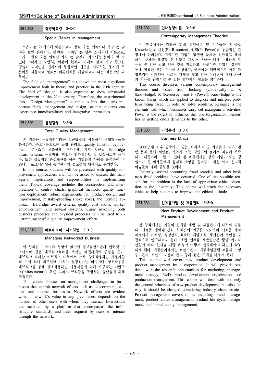## 251.328 경영학특강 3-3-0

#### Special Topics in Management

"경영"은 21세기에 이론으로나 현실 응용 면에서나 가장 큰 발 전을 보인 분야이다. 반면에 "디자인"은 향후 21세기에 이론으로, 그리고 현실 응용 면에서 가장 큰 발전이 기대되는 분야라 할 수 있다. "디자인 경영"은 이같이 현재와 미래에 걸쳐 가장 중요한 경영과 디자인을 연계시켜 통합적인 접근을 시도하는 동시에 두 분야를 결합하여 새로운 이론체계를 개발하고자 하는 실험적인 과 목이다.

The field of "management" has shown the most significant improvement both in theory and practice in the 20th century. The field of "design" is also expected to show substantial development in the 21st century. Therefore, the experimental class "Design Management" attempts to link those two important fields, management and design, so that students can experience interdiscplinary and integrative approaches.

## 251.329 품질경영 3-3-0

#### Total Quality Management

본 강좌는 품질개선이라는 접근방법을 사용하여 경영형상들을 분석한다. 주요내용으로는 공정 관리도, quality function deployment, 로버스트 제품설계, 포카요케, 데밍 접근법, Baldridge award criteria, 품질비용, 작업자 임파워먼트 및 보상시스템 등이 다. 또한 성공적인 품질개선을 이룬 기업들의 사례를 분석하여 비 즈니스 프로세스에서 품질관리의 중요성에 대해서도 논의한다.

In this course, students will be presented with quality improvement approaches, and will be asked to discuss the managerial implications and responsibilities in implementing them. Topical coverage includes the construction and interpretation of control charts, graphical methods, quality function deployment, robust experiments for product design and improvement, mistake-proofing (poke yoke), the Deming approach, Baldridge award criteria, quality cost audits, worker empowerment, and reward systems. Cases involving both business processes and physical processes will be used to illustrate successful quality improvement efforts.

## 251.331B 네트워크비즈니스경영 3-3-0

#### Managing Networked Business

이 강좌는 비즈니스 경영에 있어서 정보통신기술과 인터넷 비 즈니스와 같은 네트워크효과를 보이는 해결과제에 중점을 둔다. 네트워크 효과란 네트워크 내부에서 서로 상호작용하는 사용자들 의 수에 의해 네트워크 가치가 결정된다는 의미이다. 상호작용은 네트워크를 통해 상호작용하는 사용자들에 의해 요구되는 기반구 조(Infrastructure), 표준 그리고 규칙들을 포함하는 플랫폼에 의해 조정된다.

This course focuses on management challenges in businesses that exhibit network effects such as telecommuni- cations and internet businesses. Network effects are evident when a network's value to any given users depends on the number of other users with whom they interact. Interactions are mediated by a platform that encompasses the infrastructure, standards, and rules required by users to interact through the network.

# 251.332 현대경영이론 3-3-0

## Contemporary Management Theories

이 과목에서는 다양한 현대 경영이론 및 이슈들을 지식(K: Knowledge), 자원(R: Resource), 권력(P: Power)의 통합적인 관 점에서 논의한다. 지식이란 기업이 당면한 문제를 진단하고 해석 하며, 문제를 해결할 수 있도록 개입을 행하는 데에 유용하게 활 용될 수 있는 알고 있는 것을 지칭하고, 자원이란 기업의 경영활 동에 필요한 모든 요소를 지칭하며, 권력이란 일반적으로 어떤 특 정조직이나 개인이 사회적 관계를 맺고 있는 상대편에 대해 자신 의 의사를 관철시킬 수 있는 영향력의 정도를 의미한다.

This course discusses various contemporary management theories and issues from looking synthetically at K (knowledge), R (Resource), and P (Power). Knowledge is the known things which are applied to diagnose and interpret problems being faced, in order to solve problems. Resource is the elements with which businesses carry out management activities. Power is the extent of influence that one (organization; person) has in getting one's demands to the other.

## 251.333 기업윤리 3-3-0

#### Business Ethics

2000년대 이후 급증하고 있는 회계부정 및 기업들의 사기, 횡 령 문제 등의 원인은, 기업가 또는 경영자의 윤리적 자질이 부족 하기 때문이라고 할 수 있다. 본 과목에서는 장차 기업가 또는 경 영자가 될 학생들에게 윤리적 소양을 길러주기 위한 여러 윤리적 이슈들에 대해 공부할 것이다.

Recently, several accounting fraud scandals and other business fraud accidents have occurred. One of the possible reason for the problem is the lack of appropriate ethics education in the university. This course will teach the necessary ethics to help students to improve the ethical attitude.

## 251.334 신제품개발 및 제품관리 3-3-0

## New Product Development and Product Management

본 강좌에서는 기업의 신제품 개발 및 제품관리에 대하여 다룬 다. 신제품 개발에 관한 학제간의 연구를 시도하여 신제품 개발 과정에서 마케팅, 경영전략, R&D, 개발조직, 생산관리 측면을 포 괄적으로 연구하고자 한다. 또한 신제품 개발일반론 뿐만 아니라 산업에 따라 신제품 개발 과정이 어떻게 변형되어야 하는지 공부 하게 된다. 제품관리에서는 브랜드관리, 제품계열관련 제품의 수명 주기관리, 브랜드 자산의 관리 등과 같은 주제를 다루게 된다.

This course will cover new product development and product management by a corporation. It will provide students with the research opportunities for marketing, management strategy, R&D, product development organization, and production management. This course will deal with not only the general principles of new product development, but also the way it should be changed considering industry characteristics. Product management covers topics including brand management, product-related management, product life cycle management, and brand equity management.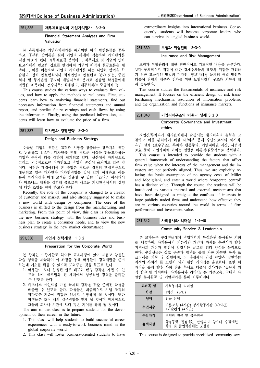## Financial Statement Analyses and Firm Valuation

본 과목에서는 기업가치평가를 하기위한 여러 방법론들을 공부 하고, 공부한 방법론을 실제 기업의 사례에 적용하여 가치평가를 직접 해보게 된다. 재무제표를 분석하고, 재무제표 및 기업의 연차 보고서에서 필요한 정보를 발견하여 기업의 이익과 현금흐름을 예 측하고, 이를 이용하여 기업의 가치평가를 하는 다양한 방법을 학 습한다. 장차 컨설팅회사나 회계법인의 컨설턴트 분야 또는, 증권 회사 및 투자은행 등지의 애널리스트 분야로 진출할 학생들에게 적합한 과목이다. 선수과목: 회계원리, 재무회계(= 중급회계 I)

This course studies the various ways to evaluate firm values, and how to apply the methods to real cases. First, students learn how to analyzing financial statements, find out necessary information from financial statements and annual report, and predict future earnings and cash flows by using the information. Finally, using the predicted information, students will learn how to evaluate the price of a firm.

# 251.337 디자인과 경영전략 3-3-0

# Design and Business Strategy

오늘날 기업의 역할은 고객과 시장을 창출하는 창조자의 역할 로 변화하고 있으며, 디자인을 통해 새로운 세상을 만들고자하는 기업과 주장이 더욱 강하게 제기되고 있다. 생산에서 마케팅으로 그리고 궁극적으로는 디자인으로 경영의 중심이 옮겨지고 있는 것 이다. 이러한 배경아래서 본 수업은 새로운 경영의 핵심역량으로 대두되고 있는 디자인과 디자인경영을 깊이 있게 이해하고 이를 통해 미래시장과 미래 고객을 창출할 수 있는 비즈니스 아이디어 와 비즈니스 계획을 실험해 봄으로써 새로운 기업환경에서의 경영 에 대한 조망을 함께 하고자 한다.

Recently, the role of the company is changed to a creator of customer and market, and also strongly suggested to make a new world with design by companies. The core of the business is shifted to the design from the manufacturing, and marketing. From this point of view, this class is focusing on the new business strategy with the business idea and business plan to create a consumer needs, and to view the new business strategy in the new market circumstance.

# 251.338 기업과 경력개발 1-0-2

## Preparation for the Corporate World

본 강좌는 수강자들로 하여금 교육과정에 있어 새롭고 참신한 학습 영역을 제공하여 이 과정을 통해 학생들이 경력개발을 준비 하는데 기초를 닦을 수 있도록 도와주는 것을 목표로 한다.

- 1. 학생들이 보다 완성된 실무 태도와 균형 감각을 가질 수 있 도록 하여 글로벌화 된 세계에서 성공적인 경력을 준비할 수 있도록 한다.
- 2. 비즈니스 마인드를 가진 국제적 감각을 갖춘 준비된 학생을 배출할 수 있도록 한다. 학생들은 최종적으로 기업 조직의 까다로운 기준에 적합한 인재로 성장하게 될 것이다. 또한 학생들은 조직 내의 실무경험을 얻게 될 것이며 잠재적으로 그들의 회사나 기관에 보다 많은 기여를 하게 될 것이다.

The aim of this class is to prepare students for the development of their career in the future.

- 1. This class will help students to build successful career experiences with a ready-to-work business mind in the global corporate world.
- 2. This class will foster business-oriented students to have

extraordinary insights into international business. Consequently, students will become corporate leaders who can survive in tangled business world.

## 251.339 보험과 위험관리 3-3-0

## Insurance and Risk Management

보험과 위험관리에 대한 전반적이고 기초적인 내용을 공부한다. 보다 구체적으로 위험에 대한 경제주체들의 태도와 위험을 관리하 기 위한 효율적인 방법의 디자인, 정보비대칭 문제의 해결 방안과 더불어 위험의 배분과 전가를 위한 보험시장의 구조와 기능에 대 해 공부한다.

This course studies the fundamentals of insurance and risk management. It focuses on the efficient design of risk transfer/sharing mechanism, resolution of information problems, and the organization and functions of insurance markets.

## 251.340 기업지배구조의 이론과 실제 3-3-0

## Corporate Governance and Investment ethics

경영진/투자자간 대리관계에서 발생되는 대리비용의 유형을 고 찰하고 이를 완화하기 위한 내/외부 통제 수단으로서의 이사회, 유인 설계 (보수구조), 투자자 행동주의, 기업지배권 시장, 사법적 보호 등이 기업가치에 미치는 영향을 이론적/실증적으로 분석한다.

This course is intended to provide the students with a general framework of understanding the factors that affect firm value when the interests of the management and the investors are not perfectly aligned. Thus, we are explicitly relaxing the basic assumption of no agency costs of Miller and Modigliani, and enter a world where 'corporate control' has a distinct value. Through the course, the students will be introduced to various internal and external mechanisms that have been designed to mitigate the conflicts of interests in large publicly traded firms and understand how effective they are in various countries around the world in terms of firm performance and investment value.

## 251.342 사회봉사와 리더십 1-4-40

## Community Service & Leadership

본 교과목은 수강생들에게 경영대학의 특성화된 봉사활동 기회 를 제공하여, 사회봉사의 기본적인 개념과 자세를 훈련시켜 향후 지역사회 개선과 발전에 앞장서는 글로벌 리더 양성을 목적으로 한다. 수강생들은 상호 존중과 협력을 통해 지속 가능한 봉사 프 로그램을 기획 및 실행하며, 그 과정에서 인성 함양과 실천하는 지성의 사회적 롤 모델이 되기 위한 리더십을 훈련한다. 또한 이 과정을 통해 향후 사회 진출 후에도 더불어 살아가는 '공동체 의 식 함양'에 기여한다. 사회봉사와 리더십』은 기본교육, 국내외 다 양한 봉사활동 및 기말평가를 통해 이루어진다.

| 교과목 명 | 사회봉사와 리더십                                  |
|-------|--------------------------------------------|
| 학점    | 1학점 (S/U)                                  |
| 영역    | 전공 선택                                      |
| 수업시수  | 기본교육 (4시간)+봉사활동시간 (40시간)<br>+기말평가 (4시간)    |
| 수강자격  | 경영학 전공 및 복수전공                              |
| 유의사항  | 학점등급 평점에는 반영되지 않으나 수강제한<br>학점 및 졸업학점에는 포함됨 |

This course is designed to provide specialized community serv-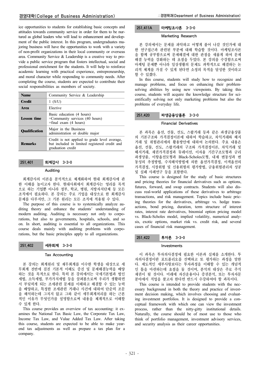ice opportunities to students for establishing basic concepts and attitudes towards community service in order for them to be nurtured as global leaders who will lead to enhancement and development of the public interest. In this program, undergraduates majoring business will have the opportunities to work with a variety of non-profit organizations in their local community or overseas area. Community Service & Leadership is a creative way to provide a public service program that fosters intellectual, social and professional enrichment for the students. It will help to reinforce academic learning with practical experience, entrepreneurship, and moral character while responding to community needs. After completing the course, students are expected to contribute their social responsibilities as members of society.

| <b>Name</b>          | Community Service & Leadership                                                                                      |
|----------------------|---------------------------------------------------------------------------------------------------------------------|
| <b>Credit</b>        | $1$ (S/U)                                                                                                           |
| <b>Area</b>          | Elective                                                                                                            |
| <b>Lesson</b> time   | Basic education (4 hours)<br>+Community services (40 hours)<br>$+$ final exam (4 hours)                             |
| <b>Qualification</b> | Major in the Business<br>administration or double major                                                             |
| <b>Remarks</b>       | Credit is not applied to grade level average,<br>but included in limited registered credit and<br>graduation credit |

## 251.401 회계감사 3-3-0

## Auditing

회계감사의 이론을 분석적으로 체계화하여 현대 회계감사에 관 한 이해를 높이고자 한다. 현대사회에서 회계감사는 영리를 목적 으로 하는 기업뿐 아니라 정부, 학교, 병원, 지방자치단체 등 모든 조직에서 필요하다. 본 강의는 주로 기업을 대상으로 한 회계감사 문제를 다루지만, 그 기본 원리는 모든 조직에 적용될 수 있다.

The purpose of this course is to systemically analyze auditing theory and enhance the students' understanding of modern auditing. Auditing is necessary not only to corporations, but also to governments, hospitals, schools, and so on. In short, auditing is essential to all organizations. This course deals mainly with auditing problems with corporations, but the basic principles apply to all organizations.

# 251.402 세무회계 3-3-0

## Tax Accounting

본 강의는 회계원리 및 재무회계를 이수한 학생을 대상으로 세 무회계 전반에 걸친 기본적 이해도 증진 및 문제해결능력을 배양 하는 것을 목적으로 한다. 특히 본 강의에서는 국세기본법과 법인 세법, 소득세법, 부가가치세법 등을 살펴봄으로써 우리가 생활하면 서 부딪히게 되는 조세관련 문제를 이해하고 해결할 수 있는 능력 을 배양하고, 특정한 조세관련 거래나 사건에 대하여 단순히 조문 을 해석하는데 그치지 않고 그와 같이 세무회계처리를 하는 근본 적인 이유가 무엇인가를 설명함으로써 내용을 체계적으로 이해할 수 있게 한다.

This course provides an overview of tax accounting: it examines the National Tax Basic Law, the Corporate Tax Law, Income Tax Law, and Value Added Tax Law. After taking this course, students are expected to be able to make yearend tax adjustments as well as prepare a tax plan for a company.

## 251.411A 마케팅조사론 3-3-0

#### Marketing Research

본 강의에서는 문제를 파악하고 어떻게 풀어 나갈 것인가에 대 한 연구접근과 관련된 부분에 대해 학습할 것이다. 마케팅조사론 을 함께 공부함으로써 문제해결에 대한 관점을 새롭게 하여 문제 해결 능력을 강화하는 데 초점을 두었다. 본 강의를 수강함으로써 마케팅 문제뿐 아니라 일상생활의 문제도 과학적으로 해결하는 논 리적 체계를 가질 수 있게 된다면 소정의 목적을 달성한 것이라고 할 수 있겠다.

In this course, students will study how to recognize and manage problems, and focus on enhancing their problemsolving abilities by using new viewpoints. By taking this course, students will acquire the knowledge structure for scientifically solving not only marketing problems but also the problems of everyday life.

# 251.420 파생금융상품론 3-3-0

#### Financial Derivatives

본 과목은 옵션, 선물, 선도, 스왑거래 등과 같은 파생금융상품 의 기본구조와 가격결정이론에 대하여 학습하고, 차익거래와 헤지 거래 및 위험관리에의 활용방안에 대하여 논의한다. 주요 내용은 옵션, 선물, 선도, 스왑거래의 구조와 가격결정이론, 차익거래 및 헤지거래, 채권가격결정과 듀레이션, 이자율 기간구조모형과 금리 파생상품, 이항옵션모형과 Black-Scholes모형, 내재 변동성과 변 동성의 추정방법, 수치해석방법에 의한 옵션가격결정, 이색옵션의 가격결정, 시장위험 및 신용위험의 평가방법, 금융위험관리의 성공 및 실패 사례연구 등을 포함한다.

This course is designed for the study of basic structures and pricing theories for financial derivatives such as options, futures, forward, and swap contracts. Students will also discuss real-world applications of these derivatives to arbitrage transactions, and risk management. Topics include basic pricing theories for the derivatives, arbitrage vs. hedge transactions, bond pricing, duration, term structure of interest rates, interest rate derivatives, binomial option pricing model vs. Black-Scholes model, implied volatility, numerical analysis, exotic options, market risk vs. credit risk, and several cases of financial risk management.

## 251.422 투자론 3-3-0

#### Investments

이 과목은 투자의사결정에 필요한 이론과 실제를 소개한다. 투 자의사결정이란 포트폴리오를 선택하고 또 평가하는 과정을 말한 다. 제도적인 세부사항보다는 투자과정을 이해할 수 있는 개념적 인 틀을 마련하는데 초점을 둘 것이며, 분석의 대상은 주로 주식 채권이 될 것이다. 미래에 자산운용이나 증권분석, 또는 투자자문 분야에서 직업을 찾고자 한다면 반드시 수강하여야 할 과목이다.

This course is intended to provide students with the necessary background in both the theory and practice of investment decision making, which involves choosing and evaluating investment portfolios. It is designed to provide a conceptual framework with which one can view the investment process, rather than the nitty-gitty institutional details. Naturally, the course should be of most use to those who think of portfolio management, investment advisory services, and security analysis as their career opportunities.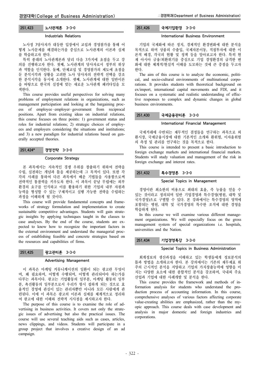## 251.423 노사관계론 3-3-0

#### Industrials Relations

노사정 3당사자가 대등한 입장에서 교섭과 경영참가를 통해 어 떻게 노사문제를 해결하는가를 중심으로 노사관계의 이론과 실제 를 학습하고자 한다.

특히 종래의 노사관계론과 달리 다음 3가지에 초점을 두고 강 의를 진행하고자 한다. 첫째, 노사관계의 당사자로서 정부의 위상 과 역할을 인식한다. 둘째, 단체교섭 및 경영참가의 제도에 초점을 둔 분석시각과 상황을 고려한 노사 당사자의 전략적 선택을 강조 한 분석시각을 동시에 소개한다. 셋째, 노사관계에 대한 일반이론 을 바탕으로 한국의 실정에 맞는 새로운 노사관계 패러다임을 모 색한다.

This course provides useful perspectives for solving many problems of employment relations in organizations, such as management participation and looking at the bargaining process of employee • employer • government from reciprocal positions. Apart from existing ideas on industrial relations, this course focuses on three points: 1) government status and roles for industrial relations; 2) strategic choices of employees and employers considering the situations and institutions; and 3) a new paradigm for industrial relations based on generally accepted theories.

251.424\* 경영전략 3-3-0

#### Corporate Strategy

본 과목에서는 지속적인 경쟁 우위를 창출하기 위하여 전략을 수립, 실천하는 개념과 틀을 제공하는데 그 목적이 있다. 또한 각 각의 사례를 통하여 다른 과목에서 배운 기법들을 사용함으로써 전략적인 통찰력을 키우도록 한다. 이 과목이 끝날 무렵에는 외부 환경의 요구를 인식하고 이를 활용하기 위한 기업의 내부 자원과 능력을 형성할 수 있는 구체적이고 실행 가능한 전략을 수립하는 과정을 이해하게 될 것이다.

This course will provide fundamental concepts and frameworks of strategy formulation and implementation to create sustainable competitive advantages. Students will gain strategic insights by applying techniques taught in the classes to case analyses. By the end of the course, students are expected to know how to recognize the important factors in the external environment and understand the managerial process of establishing feasible and concrete strategies based on the resources and capabilities of firms.

## 251.425 광고관리론 3-3-0

#### Advertising Management

이 과목은 마케팅 커뮤니케이션의 일환이 되는 광고란 무엇이 며, 왜 필요하며, 어떻게 수행되며, 어떻게 관리되어야 하는가를 다루는 과목이다. 광고는 기업활동의 일부분, 마케팅 활동의 일부 분, 촉진활동의 일부분으로서 우리가 항시 접하게 되는 것으로 효 율적인 경영에 관심이 있는 관리자뿐만 아니라 모든 사람에게 관 련된다. 이에 이 과목은 광고의 이론과 실제를 체계적으로 정리하 여 광고에 대한 이해와 전략적 시사점을 제시하고자 한다.

The purpose of this course is to examine the role of advertising in business activities. It covers not only the strategic issues of advertising but also the practical issues. The course will use several teaching aids such as cases, articles, news clippings, and videos. Students will participate in a group project that involves a creative design of an ad campaign.

# 251.426 국제기업환경 3-3-0

## International Business Environment

기업의 국제화에 따른 정치, 경제적인 환경변화에 대한 분석을 목적으로 하며 상품의 수출입, 국제자본이동, 직접투자에 대한 이 론적 배경, 각국의 현황 및 정책 등을 알아보고자 한다. 특히 현 재 아시아 금융/외환위기를 중심으로 기업 경영환경의 급격한 변 화에 대한 체계적/현실적 이해를 도모하는 것에 큰 중점을 두고자 한다.

The aim of this course is to analyze the economic, political, and socio-cultural environments of multinational corporations. It provides students with theoretical background on ex/import, international capital movements and FDI, and it focuses on a systematic and realistic understanding of effective responses to complex and dynamic changes in global business environments.

#### 251.430 국제금융관리론 3-3-0

## International Financial Management

국제거래에 수반되는 재무적인 결정들을 연구하는 과목으로 외 환시장, 국제금융시장에 대한 기본적인 소개와 환위험, 이자율위험 의 측정 및 관리를 연구하는 것을 목적으로 한다.

This course is intended to present a basic introduction to foreign exchange markets and international financial markets. Students will study valuation and management of the risk in foreign exchange and interest rates.

#### 251.432 특수경영론 3-3-0

## Special Topics in Management

경영이란 최소한의 비용으로 최대의 효율, 즉 능률을 얻을 수 있는 것이라고 정의되며 일반 기업경영과 특수경영(병원, 대학 및 국가경영)으로 구별할 수 있다. 본 강좌에서는 특수경영의 영역에 포함되는 병원, 대학 및 국가경영의 특수한 조직에 대한 경영을 학습하게 된다.

In this course we will examine various different management organizations. We will especially focus on the gross management system of special organizations i.e. hospitals, universities and the Nation.

## 251.434 기업경영특강 3-3-0

#### Special Topics in Business Administration

회계정보의 생산과정을 이해하고 있는 학생들에게 정보분석의 틀과 방법을 소개하고자 한다. 본 강의에서는 기존의 재무제표 위 주의 근시적인 분석을 지양하고 기업의 가치창출능력에 영향을 미 치는 다양한 요소에 대한 종합적인 분석을 강조하며, 국내외 주요 산업과 기업에 대한 사례개발 및 분석을 한다.

This course provides the framework and methods of information analysis for students who understand the production process of accounting information. In this course, comprehensive analyses of various factors affecting corporate value-creating abilities are emphasized, rather than the myopic approach. This course deals with case development and analysis in major domestic and foreign industries and corporations.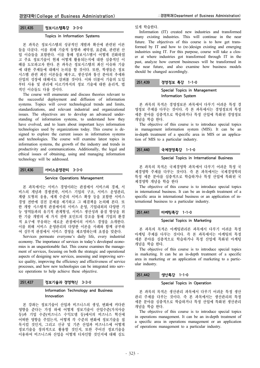#### Topics in Information Systems

본 과목은 정보시스템의 성공적인 개발과 확산에 관련된 이론 들을 다룬다. 이를 위해 기술적 동향과 제약점, 표준화, 관련된 산 업 이슈들을 포함한다. 이를 통해 정보시스템이 어떻게 진화하였 고 주요 정보기술이 현재 어떻게 활용되는지에 대한 심층적인 이 해를 도모하고자 한다. 본 과목은 정보시스템의 최신 이슈와 기술 에 대한 주제들에 대해서 논의를 할 것이다. 또한, 학생들은 정보 시스템 관련 최신 이론들을 배우고, 생산성과 통신 분야의 추세와 산업의 성장에 대해서도 살펴볼 것이다. 이와 더불어 기술의 도입 부터 사용 및 관리에 이르기까지의 정보 기술에 대한 윤리적, 법 적인 이슈들도 다룰 것이다.

The course will enumerate and discuss theories relevant to the successful deployment and diffusion of information systems. Topics will cover technological trends and limits, standardizations, and relevant industrial and organizational issues. The objectives are to develop an advanced understanding of information systems, to understand how they have evolved, and to learn about important keys information technologies used by organizations today. This course is designed to explore the current issues in information systems and technologies. The course will examine latest topics in information systems, the growth of the industry and trends in productivity and communications. Additionally, the legal and ethical issues of obtaining, using and managing information technology will be addressed.

# 251.436 서비스운영관리 3-3-0

## Service Operations Management

본 과목에서는 서비스 경영이라는 관점에서 서비스와 경제, 서 비스의 개념과 경쟁전략, 서비스 기업의 구조, 서비스 운영관리, 계량 모형의 응용, 세계 수준의 서비스 확장 등을 포함한 서비스 경영 전반에 걸친 문제를 제기하고 그 해결책을 논의해 본다. 또 한 개방 시스템적 관점에서의 서비스 운영, 기업내외의 다양한 기 능 영역들과의 유기적 관계형성, 서비스 생산성과 품질 향상을 위 한 기술 개발의 세 가지 전략 포인트의 강조를 통해 기업의 환경 적 요구에 부응하는 새로운 관점에서의 서비스 경영을 소개한다. 이를 위해 서비스 운영관리의 다양한 이론을 사례와 함께 공부하 여 실무적 관점에서 서비스 경영을 재조명하는데 초점을 맞춘다.

Services permeate everyone's daily life, every industrial economy. The importance of services in today's developed economies is an unquestionable fact. This course examines the management of services, focusing on both the strategic and operational aspects of designing new services, assessing and improving service quality, improving the efficiency and effectiveness of service processes, and how new technologies can be integrated into service operations to help achieve these objective.

# 251.437 정보기술과 경영혁신 3-3-0

## Information Technology and Business Innovation

본 강좌는 정보기술이 산업과 비즈니스의 생성, 변화에 커다란 영향을 준다는 가정 하에 어떻게 정보기술이 산업수준(가치사슬 등)과 기업 수준(비즈니스 수익모델 등)에서의 비즈니스 혁신에 어떠한 영향을 주었는지, 어떻게 각 수준의 변화에 정보기술을 접 목시킬 것인지, 그리고 신규 및 기존 산업과 비즈니스에 어떻게 정보기술을 창의적으로 활용할 것인지, 또한 주어진 정보기술을 이용하여 비즈니스와 산업을 어떻게 디자인할 것인지에 대해 심도 있게 학습한다.

Information (IT) created new industries and transformed many existing industries. This will continue in the near future. The objectives of this course is to how get transformed by IT and how to (re-)design existing and emerging industries using IT. For this purpose, course will take a closer at where industries got transformed through IT in the past, analyze how current businesses will be transformed in the near future, and also examine how business models should be changed accordingly.

## 251.439 경영정보 특강 1-1-0

## Special Topics in Management Information System

본 과목의 목적은 경영정보론 과목에서 다루기 어려운 특정 경 영정보 주제를 다루는 것이다. 즉 본 과목에서는 경영정보의 특정 세분 분야를 심층적으로 학습하거나 특정 산업에 특화된 경영정보 개념을 학습 한다.

The objective of this course is to introduce special topics in management information system (MIS). It can be an in-depth treatment of a specific area in MIS or an application of MIS to a particular industry.

# 251.440 국제경영특강 1-1-0

#### Special Topics in International Business

본 과목의 목적은 국제경영학 과목에서 다루기 어려운 특정 국 제경영학 주제를 다루는 것이다. 즉 본 과목에서는 국제경영학의 특정 세분 분야를 심층적으로 학습하거나 특정 산업에 특화된 국 제경영학 개념을 학습 한다

The objective of this course is to introduce special topics in international business. It can be an in-depth treatment of a specific area in international business or an application of international business to a particular industry.

## 251.441 마케팅특강 1-1-0

## Special Topics in Marketing

본 과목의 목적은 마케팅관리론 과목에서 다루기 어려운 특정 마케팅 주제를 다루는 것이다. 즉 본 과목에서는 마케팅의 특정 세분 분야를 심층적으로 학습하거나 특정 산업에 특화된 마케팅 개념을 학습 한다.

The objective of this course is to introduce special topics in marketing. It can be an in-depth treatment of a specific area in marketing or an application of marketing to a particular industry.

## 251.442 생산특강 1-1-0

## Special Topics in Operation

본 과목의 목적은 생산관리 과목에서 다루기 어려운 특정 생산 관리 주제를 다루는 것이다. 즉 본 과목에서는 생산관리의 특정 세분 분야를 심층적으로 학습하거나 특정 산업에 특화된 생산관리 개념을 학습 한다.

The objective of this course is to introduce special topics in operations management. It can be an in-depth treatment of a specific area in operations management or an application of operations management to a particular industry.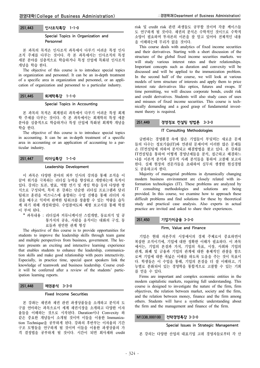## 251.443 인사조직특강 1-1-0

## Special Topics in Organization and Personnel

본 과목의 목적은 인사조직 과목에서 다루기 어려운 특정 인사 조직 주제를 다루는 것이다. 즉 본 과목에서는 인사조직의 특정 세분 분야를 심층적으로 학습하거나 특정 산업에 특화된 인사조직 개념을 학습 한다.

The objective of this course is to introduce special topics in organization and personnel. It can be an in-depth treatment of a specific area in organization and personnel, or an application of organization and personnel to a particular industry.

## 251.445 회계학특강 1-1-0

#### Special Topics in Accounting

본 과목의 목적은 회계원리 과목에서 다루기 어려운 특정 회계 학 주제를 다루는 것이다. 즉 본 과목에서는 회계학의 특정 세분 분야를 심층적으로 학습하거나 특정 산업에 특화된 회계학 개념을 학습 한다.

The objective of this course is to introduce special topics in accounting. It can be an in-depth treatment of a specific area in accounting or an application of accounting to a particular industry.

## 251.447 리더십특강 1-1-0

#### Leadership Development

이 과목은 다양한 분야의 외부 인사의 강의를 통해 조직을 이 끌며 위기를 극복하는 리더십 능력을 향상하고 개발하는데 목적이 있다. 강의는 토론, 발표, 역할 연기 및 게임 학습 등의 다양한 방 식으로 구성되며, 특히 본 강좌는 단순한 리더십 프로그램과 달리 팀워크 훈련을 비즈니스에 융합하는 수업 진행을 통해 리더의 자 질을 배우고 익히며 완벽한 팀워크를 창출할 수 있는 역량을 습득 케 하기 위해 개설하였다. 수업참여도와 체험 보고서를 통해 학점 이 부여 된다.

과목내용 : 리더십과 커뮤니케이션 스킬개발, 동료의식 및 공 통가치의 공유, 사람을 움직이는 대화의 구성, 동 료들과 원만한 관계 형성

The objective of this course is to provide opportunities for students to improve the leadership skills through team game and multiple perspectives from business, government. The lecture presents an exciting and interactive learning experience that enables students to enhance the leadership, communication skills and make good relationship with peers interactivity. Especially, in practice time, special quest speakers link the knowledge of teamwork and business leadership. Course credit will be conferred after a review of the students' participation learning reports.

251.448 채권분석 3-3-0

## Fixed Income Securities

본 강좌는 채권과 채권 관련 파생상품들을 소개하고 분석의 도 구를 연마하는 과목으로서 세계 채권시장을 소개하고 다양한 이자 율들을 이해하는 것으로 시작된다. Duration이나 Convexity 와 같은 중요한 개념들이 소개될 것이며 이들을 이용한 Immunization Technique을 공부하게 된다. 강좌의 후반부는 이자율의 기간 구조 모형들을 연구하게 될 것이며 이들을 이용한 파생상품의 가 격 결정법을 공부하게 될 것이다. 시간이 되면 회사채와 credit risk 및 credit risk 관련 파생들도 공부할 것이며 각종 케이스들 도 연구하게 될 것이다. 채권의 분석은 수학적인 것이므로 수학적 소양이 필요하며 투자론의 이론을 잘 알고 있어야 전체적인 내용 을 이해하는데 무리가 없을 것이다.

This course deals with analytics of fixed income securities and their derivatives. Starting with a short discussion of the structure of the global fixed income securities markets. we will study various interest rates and their relationships. Important concepts such as duration and convexity will be discussed and will be applied to the immunization problem. In the second half of the course, we will look at various models of term structure of interests and apply them to price interest rate derivatives like optios, futures and swaps. If time permitting, we will discuss corporate bonds, credit risk and credit derivatives. Students will also study cases of uses and misuses of fixed income securities. This course is technically demanding and a good grasp of fundamental investment theory is required.

#### 251.449 경영정보 컨설팅 방법론 3-3-0

## IT Consulting Methodologies

급변하는 경영환경 속에 많은 기업들이 부딪히는 새로운 문제 들의 다수는 정보기술(IT)와 연관된 문제이며 이러한 많은 문제들 은 IT컨설팅에 의하여 분석되고 해결방법을 찾고 있다. 본 강좌를 IT컨설팅을 통하여 어떻게 경영난제들을 분석, 접근하고 해결하느 냐를 이론적 분석과 실무적 사례 분석들을 통하여 고찰해 보고자 한다. 실제 현장의 전문가들을 초대하여 실무의 생생한 현실경험 도 공유하고자 한다.

Majority of managerial problems in dynamically changing modern business environment are closely related with information technologies (IT). These problems are analyzed by IT consulting methodologies and solutions are being provided. In this course, we examine how to approach these difficult problems and find solutions for these by theoretical study and practical case analysis. Also experts in actual practice are invited and asked to share their experiences.

## 251.450 기업가치금융 3-3-0

#### Firm, Value and Finance

기업은 현대 자본주의 시장에서의 경제 주체로서 중요하면서 복잡한 조직이기에, 기업에 대한 정확한 이해가 필요하다. 이 과목 에서는, 기업의 본질과 가치, 기업의 목표, 시장, 사회와 기업의 관계, 화폐 및 금융과 기업의 관계에 대한 총체적인 관찰을 함으 로써 기업에 대한 폭넓은 이해를 하도록 도움을 주는 것이 목표이 다. 학생들은 이 수업을 통해, 기업의 본질을 더 잘 이해하고, 기 능별로 분화되어 있는 경영학을 통합적으로 고찰할 수 있는 기회 를 얻을 수 있다.

Firms are important and complex economic entities in the modern capitalistic markets, requiring full understanding. This course is designed to investigate the nature of the firm, firm objectives, the relation between market, society and the firm, and the relation between money, finance and the firm among others. Students will have a synthetic understanding about the firm and the management and finance of the firm.

# M1338.000100 전략경영특강 3-3-0

#### Special Issues in Strategic Management

본 강의는 다양한 산업의 대표기업 고위 경영자들로부터 각 산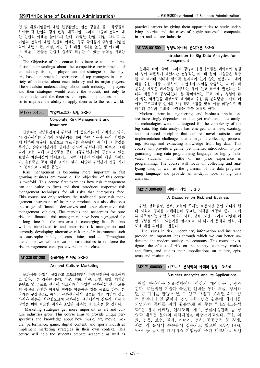업 및 대표기업들에 대한 현장감있는 실전 경험을 듣고 학생들로 하여금 각 산업의 경쟁 환경, 대표기업, 그리고 그들의 전략에 대 한 현실적 이해를 높이고자 한다. 다양한 산업, 기업, 그리고 그 기업의 전략에 대한 현실적 이해는 향후 학새을이 공부할 기업전 략에 대한 이론, 개념, 기법 등에 대한 이해를 높일 뿐 아니라 이 미 배운 이론들을 현실에 실제로 적용할 수 있는 능력을 제고한 다.

The Objective of this course is to increase a student's realistic understandings about the competitive environments of an Industry, its major players, and the strategies of the players, based on practical experiences of top managers in a variety of industries about each industry and its major players. These realstic understandings about each industry, its players and their strategies would enable the student, not only to better understand the theories, concepts, and practices, but also to improve the ability to apply theories to the real world.

# M1338.001000 기업리스크와 보험 3-3-0

## Corporate Risk Management and Insurance

급변하는 경영환경에서 위험관리의 중요성은 더 커져가고 있다. 이 강좌에서는 기업이 위험관리를 해야 하는 이유와 목적, 방법론 에 대하여 배운다. 보험으로 대표되는 순수위험 관리에 그 중점을 두지만, 순수위험관리를 넘어선 전사적 위험관리를 배우고 그에 따라 보험 외에 파생상품을 통한 재무위험관리와 급변하고 있는 보험과 자본시장의 하이브리드 시큐리티들인 대재해 채권, 사이드 카, 유한증권 등에 대한 소개도 한다. 다양한 위험관리 성공 케이 스 분석으로 이해를 돕는다.

Risk management is becoming more important in fast growing business environment. The objective of this course is twofold. This course first examines how risk management can add value to firms and then introduces corporate risk management techniques for all risks that enterprises face. This course not only reviews the traditional pure risk management instrument of insurance products but also discusses the usage of financial derivatives and other alternative risk management vehicles, The markets and academics for pure risk and financial risk management have been segregated for a long time but the two area is converging fast. Students will be introduced to and enterprise risk management and currently developing alternative risk transfer instruments such as catastrophe bonds, sidecars, finites, and etc. Throughout the course we will use various case studies to reinforce the risk management concepts covered in the class.

## M1338.001200 문화예술 마케팅 3-3-0

#### Art and Culture Marketing

문화예술 산업이 성장하고 고도화되면서 마케팅전략이 중요해지 고 있다. 본 강좌는 음악, 미술, 영화, 방송, 공연, 게임, 디지털 콘텐츠 및 스포츠 산업에 이르기까지 다양한 문화예술 산업 고유 의 특성을 반영한 마케팅 전략을 학습하는 것을 목표로 한다. 본 강좌는 수강생들로 하여금 문화산업에서 성공을 거둔 기업의 성공 사례와 이론을 학습함으로써 문화예술 산업에서의 실무적, 학문적 경력을 위해 필요한 지식과 소양을 갖추는 데 도움을 줄 것이다.

Marketing strategies get more important as art and culture industries grow. This course aims to provide unique perspectives and knowledge about how music, art, movie, media, performance, game, digital content, and sports industries implement marketing strategies in their own context. This course will help the students prepare academic as well as

practical careers by giving them opportunities to study underlying theories and the cases of highly successful companies in art and culture industries.

## M1338.001500 경영빅데이터 분석개론 3-3-0

## Introduction to Big Data Analytics for Management

현대의 과학, 공학, 그리고 경영의 응용시스템은 데이터에 점점 더 많이 의존하게 되었지만 전통적인 데이터 분석 기술들은 복잡 한 빅 데이터 시대에 맞도록 설계되어 있지 않는 실정이다. 데이 터를 수집, 저장, 가공하여 그 안에서 지식을 추출하는 빅 데이터 분석은 새로운 과제들을 탐구하는 흥미 있고 빠르게 발전하는 하 나의 학문으로 등장하였다. 본 강의에서는 프로그래밍 경험이 많 지 않는 학생들을 대상으로 데이터의 수집 및 분석뿐만 아니라 데 이터 프로그래밍 언어의 사용에도 초점을 맞춰 이를 바탕으로 빅 데이터 분석의 토대를 마련하는 것을 목표로 한다.

Modern scientific, engineering, and business applications are increasingly dependent on data, yet traditional data analysis technologies were not designed for the complexity of the big data. Big data analysis has emerged as a new, exciting, and fast-paced discipline that explores novel statistical and implementation challenges that emerge in collecting, processing, storing, and extracting knowledge from big data. This course will provide a gentle, yet intense, introduction to programming using data programming language for highly motivated students with little or no prior experience in programming. The course will focus on collecting and analyzing data, as well as the grammar of the data programming language and provide an in-depth look at big data analysis.

## M2171.000400 위험과 경영 3-3-0

## A Discourse on Risk and Business

위험, 불확실성, 정보, 보험의 주제는 보험시장 뿐만 아니라 현 대 사회와 경제를 이해하는데 중요한 시각을 제공해 준다. 이에 본 과목에서는 위험의 원리가 사회, 경제, 시장, 그리고 기업에 어 떤 영향을 끼치고 있는지를 살펴보고, 더 나아가 문화와 인식, 제 도에 대한 의미를 고찰한다.

The issues in risk, uncertainty, information and insurance provide an important lens through which we can better understand the modern society and economy. This course investigates the effects of risk on the society, economy, market and firms, and studies their impolications on culture, episteme and institutions.

## M2171.000600 비즈니스 분석학의 이해와 활용 3-3-0

# Business Analytics and its Applications

매일 쏟아지는 250경바이트 이상의 데이터는 금광과 같다. 효율적인 기술과 숙련된 인력을 통해 채굴, 정제하 면 큰 가치를 만들어 낼 수 있고 그렇지 못하면 의미 없 는 돌덩어리 일 뿐이다. 경영과학기법을 활용해 데이터를 기업가치 증대를 위해 활용하게 해 주는 "비즈니스분석 학"은 현재 마케팅, 인사조직, 재무, 공급사슬관리 등 경 영학 대부분 분야의 패러다임을 바꾸어가고있다. 또한 의 료, 신용, 보험, 물류, 에너지, 정치, 공공정책 등 경제, 사회 각 분야에 속속들이 접목되고 있으며 SAP, IBM, SAS 등 글로벌 IT서비스 기업들의 주된 비즈니스 모델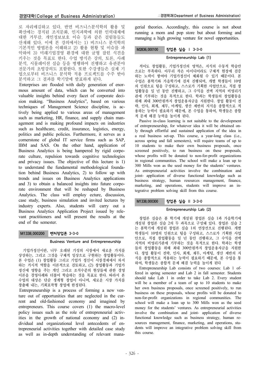로 자리매김하고 있다. 반면 비즈니스분석학의 활용 및 확산에는 경직된 조직문화, 인지과학에 의한 인력대체에 대한 거부감, 개인정보보호 이슈 등과 같은 걸림돌들도 산재해 있다. 이에 본 강의에서는 1) 비즈니스 분석학의 기본적인 방법론을 이해하고 2) 활용 현황 및 이슈를 파 악하여 3) 미래기업경영 환경에 대한 균형 잡힌 식견을 키우는 것을 목표로 한다. 수업 방식은 강의, 토론, 사례 분석, 시뮬레이션 실습 등을 병행하여 진행하고 유관분야 전문가의 초빙강의도 포함한다. 또한 수강생들은 실제 기 업으로부터 비즈니스 분석학 적용 프로젝트를 수주 받아 분석하고 그 결과를 학기말에 발표하게 된다.

Enterprises are flooded with daily generation of enormous amount of data, which can be converted into valuable insights behind every facet of corporate decision making. "Business Analytics", based on various techniques of Management Science discipline, is actively being applied to various areas of management such as marketing, HR, finance, and supply chain management and is making profound impacts on industries such as healthcare, credit, insurance, logistics, energy, politics and public policies. Furthermore, it serves as a cornerstone of global IT service firms such as SAP, IBM and SAS. On the other hand, application of Business Analytics is being hampered by rigid corporate culture, repulsion towards cognitive technologies and privacy issues. The objective of this lecture is 1) to understand the fundamental methodological foundation behind Business Analytics, 2) to follow up with trends and issues on Business Analytics applications and 3) to obtain a balanced insights into future corporate environment that will be reshaped by Business Analytics. The class will employ ecture, discussion, case study, business simulation and invited lectures by industry experts. Also, students will carry out a Business Analytics Application Project issued by relevant practitioners and will present the results at the end of the semester.

# M1338.000200 벤처창업론 3-3-0

# Business Venture and Entrepreneurship

기업가정신이란, 너무 오래된 기성의 시장에서 새로운 가치를 상상하는, 그리고 그것을 구체적 일상으로 구현하는 창업활동이다. 본 수업은 (1) 창업활동 그리고 기업가 정신이 시장경제에서 차지 하는 거시적 역할을 이론적으로 검토하고, (2) 창업활동과 기업가 정신에 영향을 주는 개인 그리고 조직수준의 현상들에 관한 경영 이론을 경영사례와 더불어 학습하는 것을 목표로 한다. 따라서 본 수업의 대상은 단순 생계형 창업이 아니며, 새로운 시장 가치를 창출해 내는, 기회포착형 창업에 한정된다.

Entrepreneurship is a process of forming a new venture out of opportunities that are neglected in the current and old-fashioned economy and imagined by entrepreneurs. This course covers (1) the macro-level policy issues such as the role of entrepreneurial activities in the growth of national economy and (2) individual and organizational level antecedents of entrepreneurial activities together with detailed case study as well as in-depth understanding of relevant managerial theories. Accordingly, this course is not about running a mom and pop store but about forming and managing a high growing venture for novel opportunities.

# M2836.000100 창업론 실습 | 3-3-0

# Entrepreneurship Lab (1)

적어도 창업활동, 기업가정신의 영역은, 지식의 수동적 학습만 으로는 부족하다. 아무리 작은 아이디어라도 구체적 현장에 검증 하는 노력이 쌓여야 기업가정신이 체화될 수 있기 때문이다. 본 수업은 봄학기와 가을학기에 걸쳐 진행되며, 개별 학생들이 10명 의 인원으로 팀을 구성하고, 스스로가 기획한 사업안으로, 직접 창 업활동을 일 년 동안 진행하고, 그 수익을 전액 지역의 비영리기 관에 기부하는 것을 목적으로 한다. 학과는 학생들의 창업활동을 위해 최대 300만원까지 창업운용자금을 지원한다. 창업 활동이 전 략, 인사, 회계, 재무, 마케팅, 생산 제반의 지식을 종합적으로 적 용하는 능력이 필요하기 때문에, 본 수업을 통하여, 학생들은 종합 적 문제 해결 능력을 높이게 된다.

Passive in-class learning is not suitable to the development of entrepreneurship, for whatever idea it will be obtained only through effortful and sustained application of the idea in a real business set-up. This course, a year-long class (i.e., across spring and fall semesters), will require teams of up to 10 students to make their own business proposals, once screened positively, to run business on these proposals, whose profits will be donated to non-for-profit organizations in regional communities. The school will make a loan up to 300 Mills won as the seed money for the students' ventures. As entrepreneurial activities involve the combination and joint- application of diverse functional knowledge such as business strategy, human resources management, finance, marketing, and operations, students will improve an integrative problem solving skill from this course.

# M1338.000300 창업론 실습 II 3-3-0

# Entrepreneurship Lab (2)

창업론 실습은 봄 학기에 개설된 창업론 실습 1과 가을학기에 개설된 창업론 실습 2의 두 과목으로 구성돼 있다. 창업론 실습 2 는 봄학기에 개설된 창업론 실습 1의 연장선으로 진행된다. 개별 학생들이 10명의 인원으로 팀을 구성하고, 스스로가 기획한 사업 안으로, 직접 창업활동을 일 년 동안 진행하고, 그 수익을 전액 지역의 비영리기관에 기부하는 것을 목적으로 한다. 학과는 학생 들의 창업활동을 위해 최대 300만원까지 창업운용자금을 지원한 다. 창업 활동이 전략, 인사, 회계, 재무, 마케팅, 생산 제반의 지 식을 종합적으로 적용하는 능력이 필요하기 때문에, 본 수업을 통 하여, 학생들은 종합적 문제 해결 능력을 높이게 된다

Entrepreneurship Lab consists of two courses: Lab 1 offered in spring semester and Lab 2 in fall semester. Students should take Lab 1 in order to take Lab 2. Every student will be a member of a team of up to 10 students to make her own business proposals, once screened positively, to run business on these proposals, whose profits will be donated to non-for-profit organizations in regional communities. The school will make a loan up to 300 Mills won as the seed money for the students' ventures. As entrepreneurial activities involve the combination and joint- application of diverse functional knowledge such as business strategy, human resources management, finance, marketing, and operations, students will improve an integrative problem solving skill from this course.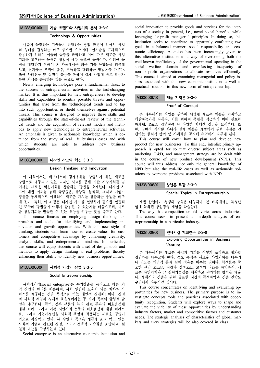## Technology & Opportunities

새롭게 등장하는 기술들은 급변하는 창업 환경에 있어서 사업 의 성패를 결정하는 매우 중요한 요소이다. 신기술을 효과적으로 활용하기 위하여 이들의 동향을 파악하고 이에 따른 새로운 사업 기회를 모색하는 능력은 창업에 매우 중요한 능력이다. 이러한 능 력을 배양하기 위하여 본 과목에서는 최근 기술 동향들을 리뷰해 보고, 신기술을 조직에 흡수, 취득하고 관리하는 방법론을 다룬다. 또한 사례연구 및 실전적 응용을 통하여 실제 사업에 바로 활용가 능한 지식을 습득하는 것을 목표로 한다.

Newly emerging technologies pose a fundamental threat to the success of entrepreneurial activities in the fast-changing market. It is thus important for new entrepreneurs to develop skills and capabilities to identify possible threats and opportunities that arise from the technological trends and to tap into such opportunities or shield themselves against potential threats. This course is designed to improve these skills and capabilities through the state-of-the-art review of the technical trends and the acquisition of relevant models and methods to apply new technologies to entrepreneurial activities. An emphasis is given to actionable knowledge which is obtained from the study of real life business cases and with which students are able to address new business opportunities.

# M1338.000500 디자인 사고와 혁신 3-3-0

#### Design Thinking and Innovation

이 과목에서는 비즈니스의 경쟁우위를 창출하기 위한 새로운 방법으로 대두되고 있는 디자인 사고를 통해 기존 시장기회를 넘 어서는 새로운 혁신기회를 창출하는 방법을 소개한다. 디자인 사 고에 대한 이해를 통해 학생들은, 상상력, 분석력, 그리고 기업가 정신을 총체적으로 이해하여 새로운 가치를 창출하는 방법을 배우 게 된다. 특히, 이 과정은 디자인 사고를 실행하기 필요한 실질적 인 도구와 방법들이 어떻게 활용될 수 있는지를 배움으로써, 새로 운 창업기회를 발굴할 수 있는 역량을 키우는 것을 목표로 한다.

This course focuses on employing design thinking approaches and tools for identifying and implementing innovation and growth opportunities. With this new style of thinking, students will learn how to create values for customers and competitive advantage by combining creativity, analytic skills, and entrepreneurial mindsets. In particular, this course will equip students with a set of design tools and methods to apply design thinking to real problems, thereby enhancing their ability to identify new business opportunities.

## M1338.000600 사회적 기업의 창업 3-3-0

### Social Entrepreneurship

사회적기업(social enterprise)은 수익창출을 목적으로 하는 기 업 경영의 원리를 이용하여, 사회 일반에 도움이 되는 재화와 서 비스를 제공하는 것을 목적으로 하는 대안적 경제제도이다. 경영 의 사회적 책임과 경제적 효율성이라는 두 가지 목적의 균형적 달 성을 추구한다. 특히, 정부 부문의 복지 관련 투자의 비효율성에 대한 비판, 그리고 기존 시민사회 운동의 비효율성에 대한 비판으 로, 그리고 기업가정신을 사회적 책임에 적용하는 새로운 경영기 법으로 각광받고 있다. 본 수업의 목적은 새롭게 조명 받고 있는 사회적 기업과 관련된 경영, 그리고 정책적 이슈들을 조망하고, 실 천적 대안을 구상하는데 있다.

Social enterprise is an alternative economic institution and

social innovation to provide goods and services for the interests of a society in general, i.e., novel social benefits, while leveraging for-profit managerial principles. In doing so, this institution seeks to contribute to apparently conflicting two goals in a balanced manner: social responsibility and economic efficiency. Attention has been increasingly given to this alternative institution as a way of overcoming both the well-known inefficiency of the governmental spending in the social welfare domain and ever-lasting incapacity of non-for-profit organizations to allocate resources efficiently. This course is aimed at examining managerial and policy issues associated with this new economic institution as well as practical solutions to this new form of entrepreneurship.

## M1338.000700 제품 기획론 3-3-0

#### Proof of Concept

본 과목에서는 창업을 위하여 어떻게 새로운 제품을 기획하고 개발하는가를 다룬다. 이를 위하여 문제를 접근하기 위해 필요한 마케팅, R&D, 경영전략 등 다양한 학제간 접근을 모색한다. 또 한, 일반적 지식뿐 아니라 실제 제품을 개발하기 위한 과정을 진 행하는 현실적 방법 및 사례들을 동시에 수업에서 다루게 된다.

This course will cover how to plan and develop new product for new businesses. To this end, interdisciplinary approach is opted for so that diverse subject areas such as marketing, R&D, and management strategy are be dealt with in the course of new product development (NPD). This course will thus address not only the general knowledge of NPD but also the real-life cases as well as actionable solutions to overcome problems associated with NPD.

## M1338.000800 창업론 특강 3-3-0

## Special Topics in Entrepreneurship

개별 산업마다 경쟁의 방식은 다양하다. 본 과목에서는 특정산 업에 특화된 창업경영 개념을 학습한다.

The way that competition unfolds varies across industries. This course seeks to present an in-depth analysis of entrepreneurship in a particular industry.

# M1338.000900 벤처사업 기회연구 3-3-0

## Exploring Opportunities in Business Venture

본 과목에서는 새로운 사업의 기회를 어떻게 포착하고 평가할 것인가를 다루고자 한다. 중요 목적은 새로운 사업기회를 다루거 나 만드는 개념적 틀과 실제 적용을 배우는 것이다. 학생들은 중 요한 산업 요소들, 시장과 경쟁요소, 고객의 니즈를 파악하여, 새 로운 사업기회와 그 실현가능성을 계획하고 평가하는 방법을 배운 다. 세계시장 진출을 위한 글로벌 시장의 특성파악과 진출 전략도 수업에서 다루어질 것이다.

This course concentrates on identifying and evaluating opportunities for new business. The primary purpose is to investigate concepts tools and practices associated with opportunity recognition. Students will explore ways to shape and evaluate the viability of these opportunities by understanding industry factors, market and competitive factors and customer needs. The strategic analyses of characteristics of global markets and entry strategies will be also covered in class.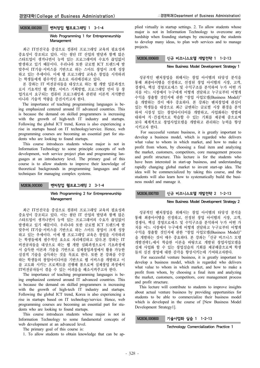# M2836.000200 벤처창업 웹프로그래밍 1 3-1-4

## Web Programming 1 for Entrepreneurship Management

최근 IT선진국을 중심으로 컴퓨터 프로그래밍 교육의 필요성과 중요성이 강조되고 있다. 이는 첨단 IT 산업의 발달과 함께 많은 스타트업이 생겨나면서 능력 있는 프로그래머의 수요가 끊임없이 발생하고 있기 때문이다. 우리나라 또한 글로벌 ICT 트렌드에 발 맞추어 IT기술·서비스를 기반으로 하는 스마트 창업이 크게 성장 하고 있는 추세이다. 이에 웹 프로그래밍 교육은 창업을 시작하려 는 학생들에게 필수적인 요소로 자리매김하고 있다.

본 강좌는 IT 비전공자들을 대상으로 하는 웹 개발 입문과정으 로서 기초적인 웹 개발, 서비스 기획방법, 프로그래밍 언어 등 창 업가로서 요구되는 컴퓨터 프로그래밍과 관련된 이론적 지식뿐만 아니라 기술적 역량을 증진시키고자 한다.

The importance of teaching programming languages is being emphasized centered around IT advanced countries. This is because the demand on skilled programmers is increasing with the growth of high-tech IT industry and startups. Following the global ICT trend, Korea is also experiencing a rise in startups based on IT technology/service. Hence, web programming courses are becoming an essential part for students who are looking to found startups.

This course introduces students whose major is not in Information Technology to some principle concepts of web development, web service project plan and programming languages at an introductory level. The primary goal of this course is to allow students to improve their knowledge of theoretical backgrounds in programming languages and of techniques for managing complex systems.

## M2836.000300 벤처창업 웹프로그래밍 2 3-1-4

## Web Programming 2 for Entrepreneurship Management

최근 IT선진국을 중심으로 컴퓨터 프로그래밍 교육의 필요성과 중요성이 강조되고 있다. 이는 첨단 IT 산업의 발달과 함께 많은 스타트업이 생겨나면서 능력 있는 프로그래머의 수요가 끊임없이 발생하고 있기 때문이다. 우리나라 또한 글로벌 ICT 트렌드에 발 맞추어 IT기술·서비스를 기반으로 하는 스마트 창업이 크게 성장 하고 있는 추세이다. 이에 웹 프로그래밍 교육은 창업을 시작하려 는 학생들에게 필수적인 요소로 자리매김하고 있다.본 강좌는 IT 비전공자들을 대상으로 하는 웹 개발 심화과정으로서 기초과정에 서 습득한 이론과 기술을 기반으로 실제창업과정에서 활용 가능한 실질적 기술을 습득하는 것을 목표로 한다. 또한 본 강좌를 수강 하는 학생들의 창업아이디어를 기반으로 웹 서비스를 개발하고 이 를 고도화 시키는 프로젝트를 진행해 봄으로써 실제창업 과정에서 IT비전공자들이 겪을 수 있는 어려움을 해소시켜주고자 한다.

The importance of teaching programming languages is being emphasized centered around IT advanced countries. This is because the demand on skilled programmers is increasing with the growth of high-tech IT industry and startups. Following the global ICT trend, Korea is also experiencing a rise in startups based on IT technology/service. Hence, web programming courses are becoming an essential part for students who are looking to found startups.

This course introduces students whose major is not in Information Technology to some fundamental concepts of web development at an advanced level.

The primary goal of this course is:

1. To allow students to obtain knowledge that can be ap-

plied virtually in startup settings. 2. To allow students whose major is not in Information Technology to overcome any hardship when founding startups by encouraging the students to develop many ideas, to plan web services and to manage projects.

## M2836,000600 신규 비즈니스모델 개발전략 1 1-2-13

## New Business Model Development Strategy 1

성공적인 벤처창업을 위해서는 창업 아이템의 타당성 분석을 통해 최종아이템을 선정하고, 선정된 창업 아이템의 시장, 고객, 경쟁사, 핵심 경영프로세스 및 수익구조를 분석하여 누가 어떤 가 치를 어느 시장에서 누구에게 어떻게 전달하고 누구로부터 어떻게 수익을 창출할 것인지에 관한 "창업 사업모델(Business Model)" 을 개발하는 것이 매우 중요하다. 본 강좌는 벤처창업에 관심이 있는 학생들을 대상으로 최근 급변하는 글로벌 시장 환경을 분석 하여 시장성 있는 창업아이디어를 개발하고, 사업화하는 방법에 대하여 직 ․ 간접적으로 학습할 수 있는 기회를 제공해 줌으로써 보다 체계적으로 창업사업모델을 개발하고 관리하는 능력을 향상 시키고자 한다.

For successful venture business, it is greatly important to develop a business model, which is regarded who delivers what value to whom in which market, and how to make a profit from whom, by choosing a final item and analyzing the market, customers, competitors, core management process and profit structure. This lecture is for the students who have been interested in start-up business, and understanding rapidly changing global market to invent start-up idea. The idea will be commercialized by taking this course, and the students will also learn how to systematically build the business model and manage it.

## M2836.000700 | 신규 비즈니스모델 개발전략 2 1-2-13

#### New Business Model Development Strategy 2

성공적인 벤처창업을 위해서는 창업 아이템의 타당성 분석을 통해 최종아이템을 선정하고, 선정된 창업 아이템의 시장, 고객, 경쟁사, 핵심 경영프로세스 및 수익구조를 분석하여 누가 어떤 가 치를 어느 시장에서 누구에게 어떻게 전달하고 누구로부터 어떻게 수익을 창출할 것인지에 관한 "창업 사업모델(Business Model)" 을 개발하는 것이 매우 중요하다. 본 강좌는 신규 비즈니스 모델 개발전략1 에서 학습한 이론을 바탕으로 개발된 창업사업모델을 실제 사업화 할 수 있는 창업실습의 기회를 제공해줌으로써 학생 들의 실전 창업에 대한 감각을 향상시키는데 기여하고자한다.

For successful venture business, it is greatly important to develop a business model, which is regarded who delivers what value to whom in which market, and how to make a profit from whom, by choosing a final item and analyzing the market, customers, competitors, core management process and profit structure.

This lecture will contribute to students to improve insights about actual venture business by providing opportunities for students to be able to commercialize their business model which is developed in the course of [New Business Model Development Strategy1].

## M2836.000800 기술사업화 실습 1 1-2-13

Technology Comercialization Practice 1